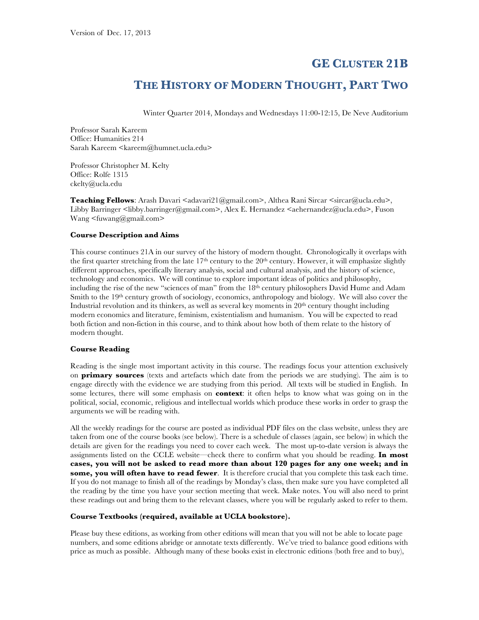# **GE CLUSTER 21B**

# **THE HISTORY OF MODERN THOUGHT, PART TWO**

Winter Quarter 2014, Mondays and Wednesdays 11:00-12:15, De Neve Auditorium

Professor Sarah Kareem Office: Humanities 214 Sarah Kareem <kareem@humnet.ucla.edu>

Professor Christopher M. Kelty Office: Rolfe 1315 ckelty@ucla.edu

**Teaching Fellows:** Arash Davari <adavari21@gmail.com>, Althea Rani Sircar <sircar@ucla.edu>, Libby Barringer <libby.barringer@gmail.com>, Alex E. Hernandez <aehernandez@ucla.edu>, Fuson Wang <fuwang@gmail.com>

# **Course Description and Aims**

This course continues 21A in our survey of the history of modern thought. Chronologically it overlaps with the first quarter stretching from the late  $17<sup>th</sup>$  century to the 20<sup>th</sup> century. However, it will emphasize slightly different approaches, specifically literary analysis, social and cultural analysis, and the history of science, technology and economics. We will continue to explore important ideas of politics and philosophy, including the rise of the new "sciences of man" from the 18th century philosophers David Hume and Adam Smith to the 19<sup>th</sup> century growth of sociology, economics, anthropology and biology. We will also cover the Industrial revolution and its thinkers, as well as several key moments in  $20<sup>th</sup>$  century thought including modern economics and literature, feminism, existentialism and humanism. You will be expected to read both fiction and non-fiction in this course, and to think about how both of them relate to the history of modern thought.

# **Course Reading**

Reading is the single most important activity in this course. The readings focus your attention exclusively on **primary sources** (texts and artefacts which date from the periods we are studying). The aim is to engage directly with the evidence we are studying from this period. All texts will be studied in English. In some lectures, there will some emphasis on **context**: it often helps to know what was going on in the political, social, economic, religious and intellectual worlds which produce these works in order to grasp the arguments we will be reading with.

All the weekly readings for the course are posted as individual PDF files on the class website, unless they are taken from one of the course books (see below). There is a schedule of classes (again, see below) in which the details are given for the readings you need to cover each week. The most up-to-date version is always the assignments listed on the CCLE website—check there to confirm what you should be reading. **In most cases, you will not be asked to read more than about 120 pages for any one week; and in some, you will often have to read fewer**. It is therefore crucial that you complete this task each time. If you do not manage to finish all of the readings by Monday's class, then make sure you have completed all the reading by the time you have your section meeting that week. Make notes. You will also need to print these readings out and bring them to the relevant classes, where you will be regularly asked to refer to them.

# **Course Textbooks (required, available at UCLA bookstore).**

Please buy these editions, as working from other editions will mean that you will not be able to locate page numbers, and some editions abridge or annotate texts differently. We've tried to balance good editions with price as much as possible. Although many of these books exist in electronic editions (both free and to buy),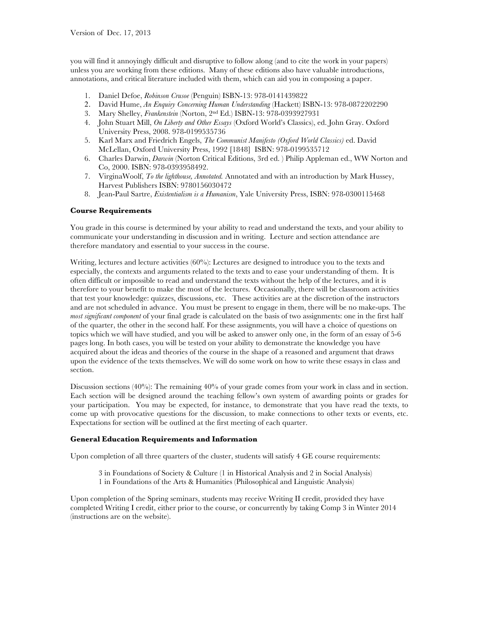you will find it annoyingly difficult and disruptive to follow along (and to cite the work in your papers) unless you are working from these editions. Many of these editions also have valuable introductions, annotations, and critical literature included with them, which can aid you in composing a paper.

- 1. Daniel Defoe, *Robinson Crusoe* (Penguin) ISBN-13: 978-0141439822
- 2. David Hume, *An Enquiry Concerning Human Understanding* (Hackett) ISBN-13: 978-0872202290
- 3. Mary Shelley, *Frankenstein* (Norton, 2nd Ed.) ISBN-13: 978-0393927931
- 4. John Stuart Mill, *On Liberty and Other Essays* (Oxford World's Classics), ed. John Gray. Oxford University Press, 2008. 978-0199535736
- 5. Karl Marx and Friedrich Engels, *The Communist Manifesto (Oxford World Classics)* ed. David McLellan, Oxford University Press, 1992 [1848] ISBN: 978-0199535712
- 6. Charles Darwin, *Darwin* (Norton Critical Editions, 3rd ed. ) Philip Appleman ed., WW Norton and Co, 2000. ISBN: 978-0393958492.
- 7. VirginaWoolf, *To the lighthouse, Annotated.* Annotated and with an introduction by Mark Hussey, Harvest Publishers ISBN: 9780156030472
- 8. Jean-Paul Sartre, *Existentialism is a Humanism*, Yale University Press, ISBN: 978-0300115468

# **Course Requirements**

You grade in this course is determined by your ability to read and understand the texts, and your ability to communicate your understanding in discussion and in writing. Lecture and section attendance are therefore mandatory and essential to your success in the course.

Writing, lectures and lecture activities (60%): Lectures are designed to introduce you to the texts and especially, the contexts and arguments related to the texts and to ease your understanding of them. It is often difficult or impossible to read and understand the texts without the help of the lectures, and it is therefore to your benefit to make the most of the lectures. Occasionally, there will be classroom activities that test your knowledge: quizzes, discussions, etc. These activities are at the discretion of the instructors and are not scheduled in advance. You must be present to engage in them, there will be no make-ups. The *most significant component* of your final grade is calculated on the basis of two assignments: one in the first half of the quarter, the other in the second half. For these assignments, you will have a choice of questions on topics which we will have studied, and you will be asked to answer only one, in the form of an essay of 5-6 pages long. In both cases, you will be tested on your ability to demonstrate the knowledge you have acquired about the ideas and theories of the course in the shape of a reasoned and argument that draws upon the evidence of the texts themselves. We will do some work on how to write these essays in class and section.

Discussion sections (40%): The remaining 40% of your grade comes from your work in class and in section. Each section will be designed around the teaching fellow's own system of awarding points or grades for your participation. You may be expected, for instance, to demonstrate that you have read the texts, to come up with provocative questions for the discussion, to make connections to other texts or events, etc. Expectations for section will be outlined at the first meeting of each quarter.

# **General Education Requirements and Information**

Upon completion of all three quarters of the cluster, students will satisfy 4 GE course requirements:

3 in Foundations of Society & Culture (1 in Historical Analysis and 2 in Social Analysis) 1 in Foundations of the Arts & Humanities (Philosophical and Linguistic Analysis)

Upon completion of the Spring seminars, students may receive Writing II credit, provided they have completed Writing I credit, either prior to the course, or concurrently by taking Comp 3 in Winter 2014 (instructions are on the website).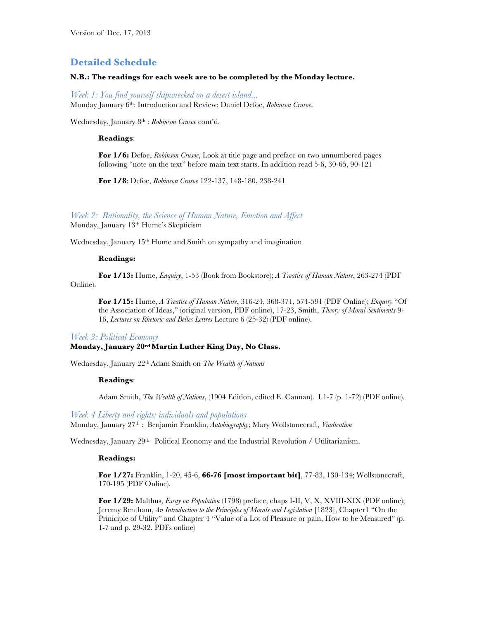# **Detailed Schedule**

# **N.B.: The readings for each week are to be completed by the Monday lecture.**

*Week 1: You find yourself shipwrecked on a desert island...* Monday January 6th: Introduction and Review; Daniel Defoe, *Robinson Crusoe*.

Wednesday, January 8th : *Robinson Crusoe* cont'd.

#### **Readings**:

**For 1/6:** Defoe, *Robinson Crusoe*, Look at title page and preface on two unnumbered pages following "note on the text" before main text starts. In addition read 5-6, 30-65, 90-121

**For 1/8**: Defoe, *Robinson Crusoe* 122-137, 148-180, 238-241

# *Week 2: Rationality, the Science of Human Nature, Emotion and Affect*

Monday, January 13th Hume's Skepticism

Wednesday, January 15<sup>th</sup> Hume and Smith on sympathy and imagination

# **Readings:**

**For 1/13:** Hume, *Enquiry*, 1-53 (Book from Bookstore); *A Treatise of Human Nature*, 263-274 (PDF Online).

**For 1/15:** Hume, *A Treatise of Human Nature*, 316-24, 368-371, 574-591 (PDF Online); *Enquiry* "Of the Association of Ideas," (original version, PDF online), 17-23, Smith, *Theory of Moral Sentiments* 9- 16, *Lectures on Rhetoric and Belles Lettres* Lecture 6 (25-32) (PDF online).

#### *Week 3: Political Economy*

# **Monday, January 20rd Martin Luther King Day, No Class.**

Wednesday, January 22thAdam Smith on *The Wealth of Nations*

#### **Readings**:

Adam Smith, *The Wealth of Nations*, (1904 Edition, edited E. Cannan). I.1-7 (p. 1-72) (PDF online).

*Week 4 Liberty and rights; individuals and populations* Monday, January 27th : Benjamin Franklin, *Autobiography*; Mary Wollstonecraft, *Vindication*

Wednesday, January 29<sup>th:</sup> Political Economy and the Industrial Revolution / Utilitarianism.

# **Readings:**

**For 1/27:** Franklin, 1-20, 45-6, **66-76 [most important bit]**, 77-83, 130-134; Wollstonecraft, 170-195 (PDF Online).

**For 1/29:** Malthus, *Essay on Population* (1798) preface, chaps I-II, V, X, XVIII-XIX (PDF online); Jeremy Bentham, *An Introduction to the Principles of Morals and Legislation* [1823], Chapter1 "On the Priniciple of Utility" and Chapter 4 "Value of a Lot of Pleasure or pain, How to be Measured" (p. 1-7 and p. 29-32. PDFs online)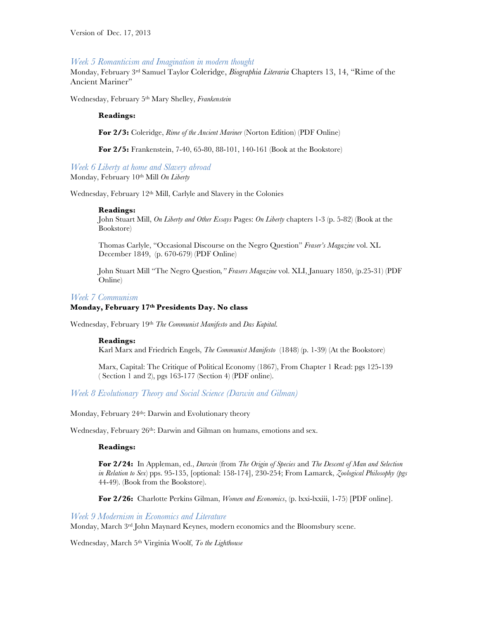# *Week 5 Romanticism and Imagination in modern thought*

Monday, February 3rd Samuel Taylor Coleridge, *Biographia Literaria* Chapters 13, 14, "Rime of the Ancient Mariner"

Wednesday, February 5th Mary Shelley, *Frankenstein*

#### **Readings:**

**For 2/3:** Coleridge, *Rime of the Ancient Mariner* (Norton Edition) (PDF Online)

**For 2/5:** Frankenstein, 7-40, 65-80, 88-101, 140-161 (Book at the Bookstore)

*Week 6 Liberty at home and Slavery abroad* Monday, February 10th Mill *On Liberty*

Wednesday, February 12th Mill, Carlyle and Slavery in the Colonies

#### **Readings:**

John Stuart Mill, *On Liberty and Other Essays* Pages: *On Liberty* chapters 1-3 (p. 5-82) (Book at the Bookstore)

Thomas Carlyle, "Occasional Discourse on the Negro Question" *Fraser's Magazine* vol. XL December 1849, (p. 670-679) (PDF Online)

John Stuart Mill "The Negro Question*," Frasers Magazine* vol. XLI, January 1850, (p.25-31) (PDF Online)

#### *Week 7 Communism*

# **Monday, February 17th Presidents Day. No class**

Wednesday, February 19th *The Communist Manifesto* and *Das Kapital*.

#### **Readings:**

Karl Marx and Friedrich Engels, *The Communist Manifesto* (1848) (p. 1-39) (At the Bookstore)

Marx, Capital: The Critique of Political Economy (1867), From Chapter 1 Read: pgs 125-139 ( Section 1 and 2), pgs 163-177 (Section 4) (PDF online).

*Week 8 Evolutionary Theory and Social Science (Darwin and Gilman)*

Monday, February 24<sup>th</sup>: Darwin and Evolutionary theory

Wednesday, February 26<sup>th</sup>: Darwin and Gilman on humans, emotions and sex.

#### **Readings:**

**For 2/24:** In Appleman, ed., *Darwin* (from *The Origin of Species* and *The Descent of Man and Selection in Relation to Sex*) pps. 95-135, [optional: 158-174], 230-254; From Lamarck, *Zoological Philosophy (pgs*  44-49). (Book from the Bookstore).

**For 2/26:** Charlotte Perkins Gilman, *Women and Economics*, (p. lxxi-lxxiii, 1-75) [PDF online].

# *Week 9 Modernism in Economics and Literature*

Monday, March 3rd John Maynard Keynes, modern economics and the Bloomsbury scene.

Wednesday, March 5th Virginia Woolf, *To the Lighthouse*